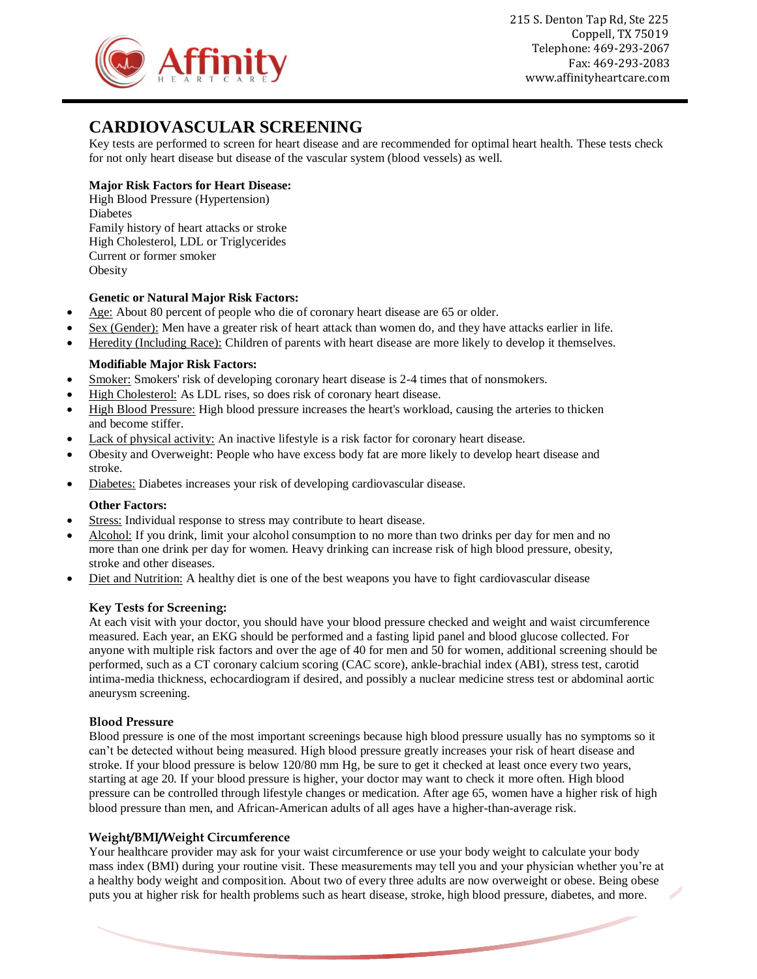

215 S. Denton Tap Rd, Ste 225 Coppell, TX 75019 Telephone: 469-293-2067 Fax: 469-293-2083 www.affinityheartcare.com

# **CARDIOVASCULAR SCREENING**

Key tests are performed to screen for heart disease and are recommended for optimal heart health. These tests check for not only heart disease but disease of the vascular system (blood vessels) as well.

# **Major Risk Factors for Heart Disease:**

High Blood Pressure (Hypertension) Diabetes Family history of heart attacks or stroke High Cholesterol, LDL or Triglycerides Current or former smoker **Obesity** 

### **Genetic or Natural Major Risk Factors:**

- Age: About 80 percent of people who die of coronary heart disease are 65 or older.
- Sex (Gender): Men have a greater risk of heart attack than women do, and they have attacks earlier in life.
- Heredity (Including Race): Children of parents with heart disease are more likely to develop it themselves.

# **Modifiable Major Risk Factors:**

- Smoker: Smokers' risk of developing coronary heart disease is 2-4 times that of nonsmokers.
- High Cholesterol: As LDL rises, so does risk of coronary heart disease.
- High Blood Pressure: High blood pressure increases the heart's workload, causing the arteries to thicken and become stiffer.
- Lack of physical activity: An inactive lifestyle is a risk factor for coronary heart disease.
- Obesity and Overweight: People who have excess body fat are more likely to develop heart disease and stroke.
- Diabetes: Diabetes increases your risk of developing cardiovascular disease.

### **Other Factors:**

- Stress: Individual response to stress may contribute to heart disease.
- Alcohol: If you drink, limit your alcohol consumption to no more than two drinks per day for men and no more than one drink per day for women. Heavy drinking can increase risk of high blood pressure, obesity, stroke and other diseases.
- Diet and Nutrition: A healthy diet is one of the best weapons you have to fight cardiovascular disease

### **Key Tests for Screening:**

At each visit with your doctor, you should have your blood pressure checked and weight and waist circumference measured. Each year, an EKG should be performed and a fasting lipid panel and blood glucose collected. For anyone with multiple risk factors and over the age of 40 for men and 50 for women, additional screening should be performed, such as a CT coronary calcium scoring (CAC score), ankle-brachial index (ABI), stress test, carotid intima-media thickness, echocardiogram if desired, and possibly a nuclear medicine stress test or abdominal aortic aneurysm screening.

### **Blood Pressure**

Blood pressure is one of the most important screenings because high blood pressure usually has no symptoms so it can't be detected without being measured. High blood pressure greatly increases your risk of heart disease and stroke. If your blood pressure is below 120/80 mm Hg, be sure to get it checked at least once every two years, starting at age 20. If your blood pressure is higher, your doctor may want to check it more often. High blood pressure can be controlled through lifestyle changes or medication. After age 65, [women have a higher risk of high](http://www.heart.org/HEARTORG/Conditions/HighBloodPressure/UnderstandYourRiskforHighBloodPressure/High-Blood-Pressure-and-Women_UCM_301867_Article.jsp)  [blood pressure](http://www.heart.org/HEARTORG/Conditions/HighBloodPressure/UnderstandYourRiskforHighBloodPressure/High-Blood-Pressure-and-Women_UCM_301867_Article.jsp) than men, and [African-American adults of all ages](http://www.heart.org/HEARTORG/Conditions/HighBloodPressure/UnderstandYourRiskforHighBloodPressure/High-Blood-Pressure-and-African-Americans_UCM_301832_Article.jsp) have a higher-than-average risk.

### **Weight/BMI/Weight Circumference**

Your healthcare provider may ask for your waist circumference or use your body weight to calculate your body mass index (BMI) during your routine visit. These measurements may tell you and your physician whether you're at a healthy body weight and composition. About two of every three adults are now overweight or obese. Being obese puts you at higher risk for health problems such as heart disease, stroke, high blood pressure, diabetes, and more.